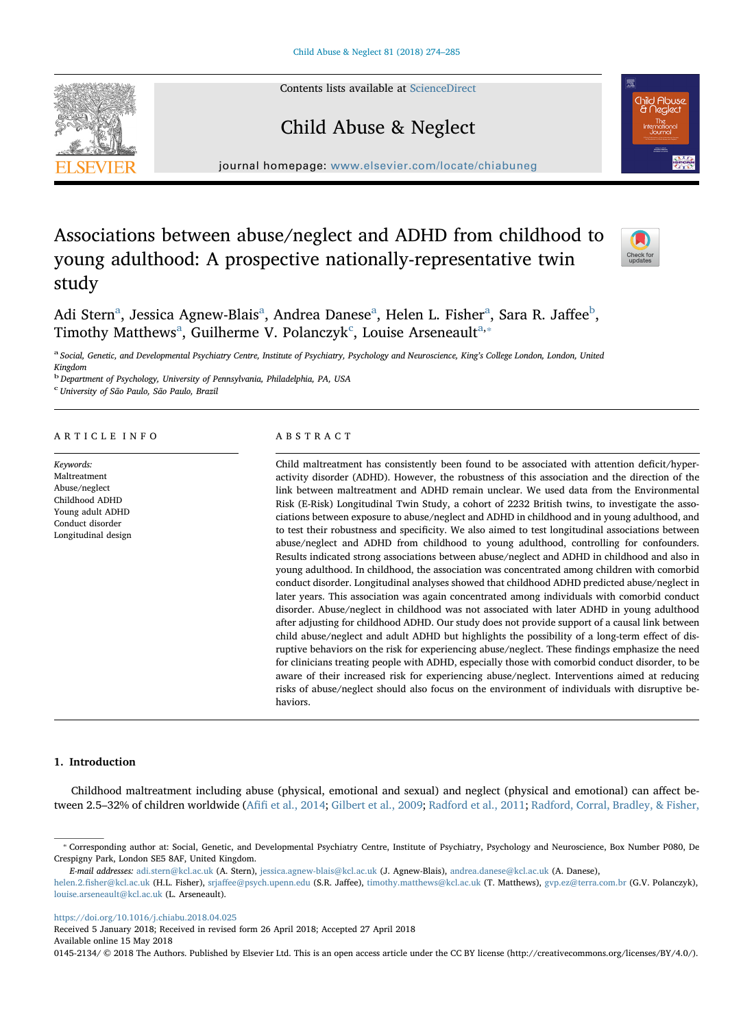Contents lists available at [ScienceDirect](http://www.sciencedirect.com/science/journal/01452134)





journal homepage: [www.elsevier.com/locate/chiabuneg](https://www.elsevier.com/locate/chiabuneg)

# Associations between abuse/neglect and ADHD from childhood to young adulthood: A prospective nationally-representative twin study



Adi Stern<sup>[a](#page-0-0)</sup>, Jessica Agnew-Blais<sup>a</sup>, Andr[ea](#page-0-0) Danese<sup>a</sup>, Helen L. Fisher<sup>a</sup>, Sa[ra](#page-0-0) R. Jaffee<sup>[b](#page-0-1)</sup>, Timothy M[a](#page-0-0)tthews<sup>a</sup>, Guilherme V. Polan[c](#page-0-2)zyk<sup>c</sup>, Louise Arseneault<sup>a,\*</sup>

<span id="page-0-0"></span>a Social, Genetic, and Developmental Psychiatry Centre, Institute of Psychiatry, Psychology and Neuroscience, King's College London, London, United Kingdom

<span id="page-0-1"></span><sup>b</sup> Department of Psychology, University of Pennsylvania, Philadelphia, PA, USA

<span id="page-0-2"></span>c University of São Paulo, São Paulo, Brazil

# ARTICLE INFO

Keywords: Maltreatment Abuse/neglect Childhood ADHD Young adult ADHD Conduct disorder Longitudinal design

#### ABSTRACT

Child maltreatment has consistently been found to be associated with attention deficit/hyperactivity disorder (ADHD). However, the robustness of this association and the direction of the link between maltreatment and ADHD remain unclear. We used data from the Environmental Risk (E-Risk) Longitudinal Twin Study, a cohort of 2232 British twins, to investigate the associations between exposure to abuse/neglect and ADHD in childhood and in young adulthood, and to test their robustness and specificity. We also aimed to test longitudinal associations between abuse/neglect and ADHD from childhood to young adulthood, controlling for confounders. Results indicated strong associations between abuse/neglect and ADHD in childhood and also in young adulthood. In childhood, the association was concentrated among children with comorbid conduct disorder. Longitudinal analyses showed that childhood ADHD predicted abuse/neglect in later years. This association was again concentrated among individuals with comorbid conduct disorder. Abuse/neglect in childhood was not associated with later ADHD in young adulthood after adjusting for childhood ADHD. Our study does not provide support of a causal link between child abuse/neglect and adult ADHD but highlights the possibility of a long-term effect of disruptive behaviors on the risk for experiencing abuse/neglect. These findings emphasize the need for clinicians treating people with ADHD, especially those with comorbid conduct disorder, to be aware of their increased risk for experiencing abuse/neglect. Interventions aimed at reducing risks of abuse/neglect should also focus on the environment of individuals with disruptive behaviors.

#### 1. Introduction

Childhood maltreatment including abuse (physical, emotional and sexual) and neglect (physical and emotional) can affect between 2.5–32% of children worldwide (Afifi [et al., 2014](#page-10-0); [Gilbert et al., 2009](#page-10-1); [Radford et al., 2011;](#page-11-0) [Radford, Corral, Bradley, & Fisher,](#page-11-1)

<https://doi.org/10.1016/j.chiabu.2018.04.025>

Received 5 January 2018; Received in revised form 26 April 2018; Accepted 27 April 2018 Available online 15 May 2018

0145-2134/ © 2018 The Authors. Published by Elsevier Ltd. This is an open access article under the CC BY license (http://creativecommons.org/licenses/BY/4.0/).

<span id="page-0-3"></span><sup>⁎</sup> Corresponding author at: Social, Genetic, and Developmental Psychiatry Centre, Institute of Psychiatry, Psychology and Neuroscience, Box Number P080, De Crespigny Park, London SE5 8AF, United Kingdom.

E-mail addresses: [adi.stern@kcl.ac.uk](mailto:adi.stern@kcl.ac.uk) (A. Stern), [jessica.agnew-blais@kcl.ac.uk](mailto:jessica.agnew-blais@kcl.ac.uk) (J. Agnew-Blais), [andrea.danese@kcl.ac.uk](mailto:andrea.danese@kcl.ac.uk) (A. Danese),

helen.2.fi[sher@kcl.ac.uk](mailto:helen.2.fisher@kcl.ac.uk) (H.L. Fisher), srjaff[ee@psych.upenn.edu](mailto:srjaffee@psych.upenn.edu) (S.R. Jaffee), [timothy.matthews@kcl.ac.uk](mailto:timothy.matthews@kcl.ac.uk) (T. Matthews), [gvp.ez@terra.com.br](mailto:gvp.ez@terra.com.br) (G.V. Polanczyk), [louise.arseneault@kcl.ac.uk](mailto:louise.arseneault@kcl.ac.uk) (L. Arseneault).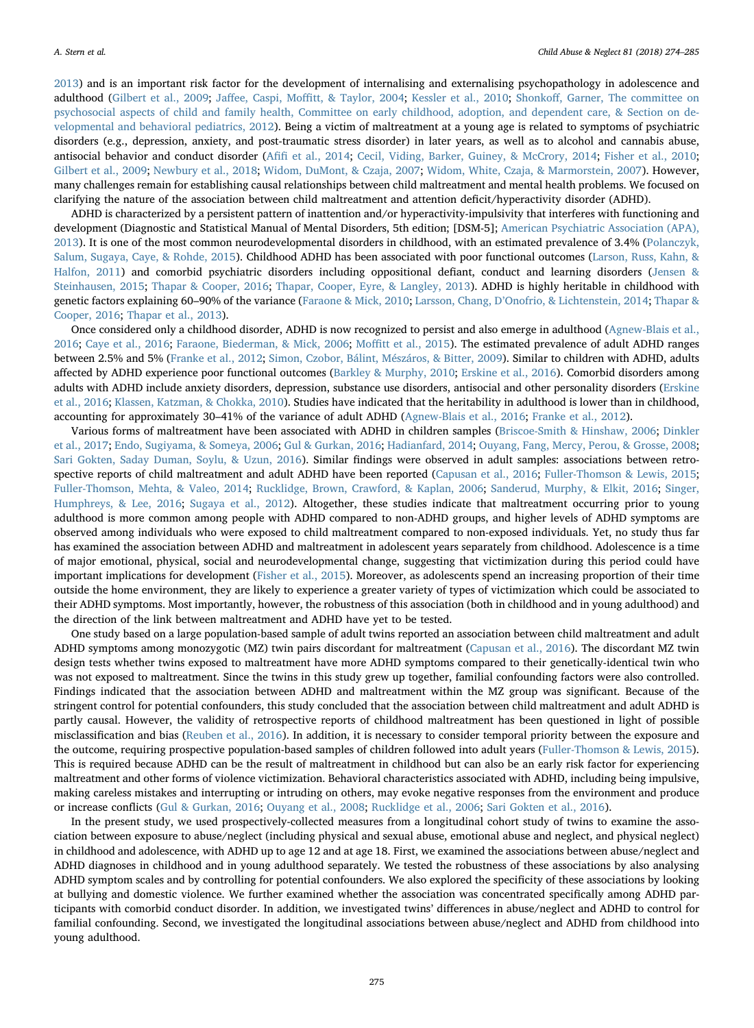[2013\)](#page-11-1) and is an important risk factor for the development of internalising and externalising psychopathology in adolescence and adulthood [\(Gilbert et al., 2009;](#page-10-1) Jaffee, Caspi, Moffi[tt, & Taylor, 2004](#page-10-2); [Kessler et al., 2010](#page-10-3); Shonkoff[, Garner, The committee on](#page-11-2) [psychosocial aspects of child and family health, Committee on early childhood, adoption, and dependent care, & Section on de](#page-11-2)[velopmental and behavioral pediatrics, 2012\)](#page-11-2). Being a victim of maltreatment at a young age is related to symptoms of psychiatric disorders (e.g., depression, anxiety, and post-traumatic stress disorder) in later years, as well as to alcohol and cannabis abuse, antisocial behavior and conduct disorder (Afifi [et al., 2014;](#page-10-0) [Cecil, Viding, Barker, Guiney, & McCrory, 2014](#page-10-4); [Fisher et al., 2010;](#page-10-5) [Gilbert et al., 2009](#page-10-1); [Newbury et al., 2018;](#page-10-6) [Widom, DuMont, & Czaja, 2007;](#page-11-3) [Widom, White, Czaja, & Marmorstein, 2007\)](#page-11-4). However, many challenges remain for establishing causal relationships between child maltreatment and mental health problems. We focused on clarifying the nature of the association between child maltreatment and attention deficit/hyperactivity disorder (ADHD).

ADHD is characterized by a persistent pattern of inattention and/or hyperactivity-impulsivity that interferes with functioning and development (Diagnostic and Statistical Manual of Mental Disorders, 5th edition; [DSM-5]; [American Psychiatric Association \(APA\),](#page-10-7) [2013\)](#page-10-7). It is one of the most common neurodevelopmental disorders in childhood, with an estimated prevalence of 3.4% [\(Polanczyk,](#page-10-8) [Salum, Sugaya, Caye, & Rohde, 2015](#page-10-8)). Childhood ADHD has been associated with poor functional outcomes ([Larson, Russ, Kahn, &](#page-10-9) [Halfon, 2011](#page-10-9)) and comorbid psychiatric disorders including oppositional defiant, conduct and learning disorders [\(Jensen &](#page-10-10) [Steinhausen, 2015](#page-10-10); [Thapar & Cooper, 2016](#page-11-5); [Thapar, Cooper, Eyre, & Langley, 2013\)](#page-11-6). ADHD is highly heritable in childhood with genetic factors explaining 60–90% of the variance [\(Faraone & Mick, 2010;](#page-10-11) Larsson, Chang, D'[Onofrio, & Lichtenstein, 2014;](#page-10-12) [Thapar &](#page-11-5) [Cooper, 2016;](#page-11-5) [Thapar et al., 2013](#page-11-6)).

Once considered only a childhood disorder, ADHD is now recognized to persist and also emerge in adulthood ([Agnew-Blais et al.,](#page-10-13) [2016;](#page-10-13) [Caye et al., 2016;](#page-10-14) [Faraone, Biederman, & Mick, 2006](#page-10-15); Moffi[tt et al., 2015](#page-10-16)). The estimated prevalence of adult ADHD ranges between 2.5% and 5% [\(Franke et al., 2012;](#page-10-17) [Simon, Czobor, Bálint, Mészáros, & Bitter, 2009\)](#page-11-7). Similar to children with ADHD, adults affected by ADHD experience poor functional outcomes [\(Barkley & Murphy, 2010;](#page-10-18) [Erskine et al., 2016\)](#page-10-19). Comorbid disorders among adults with ADHD include anxiety disorders, depression, substance use disorders, antisocial and other personality disorders [\(Erskine](#page-10-19) [et al., 2016;](#page-10-19) Klassen, [Katzman, & Chokka, 2010\)](#page-10-20). Studies have indicated that the heritability in adulthood is lower than in childhood, accounting for approximately 30–41% of the variance of adult ADHD ([Agnew-Blais et al., 2016;](#page-10-13) [Franke et al., 2012](#page-10-17)).

Various forms of maltreatment have been associated with ADHD in children samples ([Briscoe-Smith & Hinshaw, 2006](#page-10-21); [Dinkler](#page-10-22) [et al., 2017;](#page-10-22) [Endo, Sugiyama, & Someya, 2006;](#page-10-23) [Gul & Gurkan, 2016;](#page-10-24) [Hadianfard, 2014;](#page-10-25) [Ouyang, Fang, Mercy, Perou, & Grosse, 2008;](#page-10-26) [Sari Gokten, Saday Duman, Soylu, & Uzun, 2016\)](#page-11-8). Similar findings were observed in adult samples: associations between retrospective reports of child maltreatment and adult ADHD have been reported ([Capusan et al., 2016](#page-10-27); [Fuller-Thomson & Lewis, 2015;](#page-10-28) [Fuller-Thomson, Mehta, & Valeo, 2014;](#page-10-29) [Rucklidge, Brown, Crawford, & Kaplan, 2006](#page-11-9); [Sanderud, Murphy, & Elkit, 2016](#page-11-10); [Singer,](#page-11-11) [Humphreys, & Lee, 2016](#page-11-11); [Sugaya et al., 2012\)](#page-11-12). Altogether, these studies indicate that maltreatment occurring prior to young adulthood is more common among people with ADHD compared to non-ADHD groups, and higher levels of ADHD symptoms are observed among individuals who were exposed to child maltreatment compared to non-exposed individuals. Yet, no study thus far has examined the association between ADHD and maltreatment in adolescent years separately from childhood. Adolescence is a time of major emotional, physical, social and neurodevelopmental change, suggesting that victimization during this period could have important implications for development ([Fisher et al., 2015\)](#page-10-30). Moreover, as adolescents spend an increasing proportion of their time outside the home environment, they are likely to experience a greater variety of types of victimization which could be associated to their ADHD symptoms. Most importantly, however, the robustness of this association (both in childhood and in young adulthood) and the direction of the link between maltreatment and ADHD have yet to be tested.

One study based on a large population-based sample of adult twins reported an association between child maltreatment and adult ADHD symptoms among monozygotic (MZ) twin pairs discordant for maltreatment [\(Capusan et al., 2016](#page-10-27)). The discordant MZ twin design tests whether twins exposed to maltreatment have more ADHD symptoms compared to their genetically-identical twin who was not exposed to maltreatment. Since the twins in this study grew up together, familial confounding factors were also controlled. Findings indicated that the association between ADHD and maltreatment within the MZ group was significant. Because of the stringent control for potential confounders, this study concluded that the association between child maltreatment and adult ADHD is partly causal. However, the validity of retrospective reports of childhood maltreatment has been questioned in light of possible misclassification and bias ([Reuben et al., 2016\)](#page-11-13). In addition, it is necessary to consider temporal priority between the exposure and the outcome, requiring prospective population-based samples of children followed into adult years ([Fuller-Thomson & Lewis, 2015](#page-10-28)). This is required because ADHD can be the result of maltreatment in childhood but can also be an early risk factor for experiencing maltreatment and other forms of violence victimization. Behavioral characteristics associated with ADHD, including being impulsive, making careless mistakes and interrupting or intruding on others, may evoke negative responses from the environment and produce or increase conflicts ([Gul & Gurkan, 2016;](#page-10-24) [Ouyang et al., 2008;](#page-10-26) [Rucklidge et al., 2006;](#page-11-9) [Sari Gokten et al., 2016\)](#page-11-8).

In the present study, we used prospectively-collected measures from a longitudinal cohort study of twins to examine the association between exposure to abuse/neglect (including physical and sexual abuse, emotional abuse and neglect, and physical neglect) in childhood and adolescence, with ADHD up to age 12 and at age 18. First, we examined the associations between abuse/neglect and ADHD diagnoses in childhood and in young adulthood separately. We tested the robustness of these associations by also analysing ADHD symptom scales and by controlling for potential confounders. We also explored the specificity of these associations by looking at bullying and domestic violence. We further examined whether the association was concentrated specifically among ADHD participants with comorbid conduct disorder. In addition, we investigated twins' differences in abuse/neglect and ADHD to control for familial confounding. Second, we investigated the longitudinal associations between abuse/neglect and ADHD from childhood into young adulthood.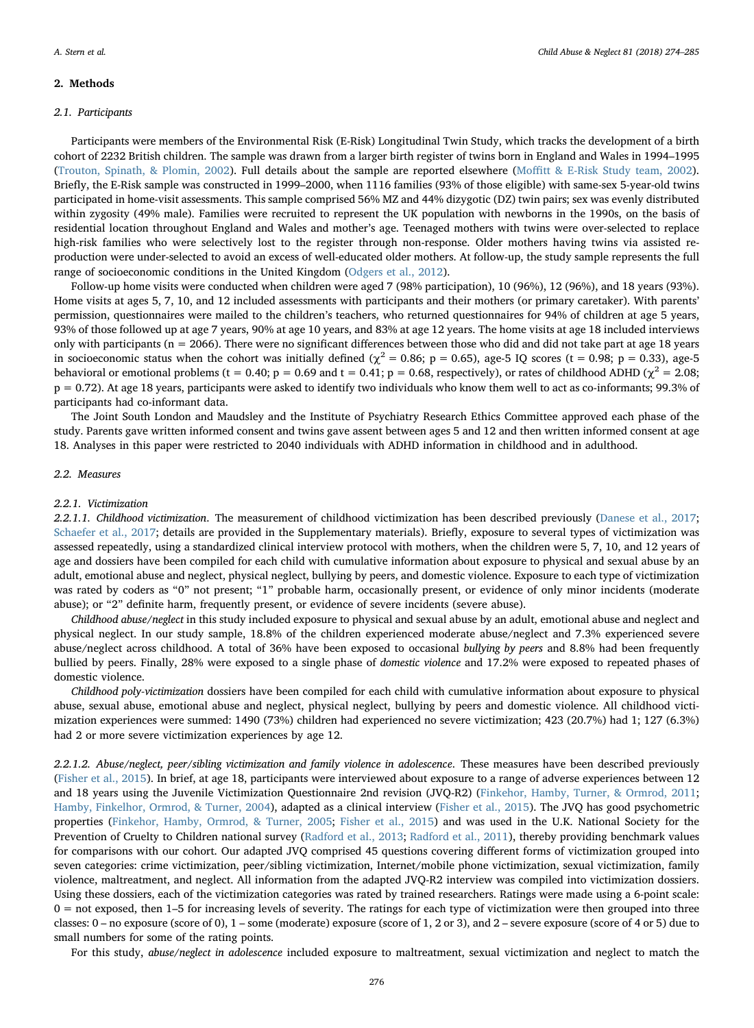# 2. Methods

# 2.1. Participants

Participants were members of the Environmental Risk (E-Risk) Longitudinal Twin Study, which tracks the development of a birth cohort of 2232 British children. The sample was drawn from a larger birth register of twins born in England and Wales in 1994–1995 ([Trouton, Spinath, & Plomin, 2002\)](#page-11-14). Full details about the sample are reported elsewhere (Moffi[tt & E-Risk Study team, 2002\)](#page-10-31). Briefly, the E-Risk sample was constructed in 1999–2000, when 1116 families (93% of those eligible) with same-sex 5-year-old twins participated in home-visit assessments. This sample comprised 56% MZ and 44% dizygotic (DZ) twin pairs; sex was evenly distributed within zygosity (49% male). Families were recruited to represent the UK population with newborns in the 1990s, on the basis of residential location throughout England and Wales and mother's age. Teenaged mothers with twins were over-selected to replace high-risk families who were selectively lost to the register through non-response. Older mothers having twins via assisted reproduction were under-selected to avoid an excess of well-educated older mothers. At follow-up, the study sample represents the full range of socioeconomic conditions in the United Kingdom ([Odgers et al., 2012](#page-10-32)).

Follow-up home visits were conducted when children were aged 7 (98% participation), 10 (96%), 12 (96%), and 18 years (93%). Home visits at ages 5, 7, 10, and 12 included assessments with participants and their mothers (or primary caretaker). With parents' permission, questionnaires were mailed to the children's teachers, who returned questionnaires for 94% of children at age 5 years, 93% of those followed up at age 7 years, 90% at age 10 years, and 83% at age 12 years. The home visits at age 18 included interviews only with participants ( $n = 2066$ ). There were no significant differences between those who did and did not take part at age 18 years in socioeconomic status when the cohort was initially defined ( $\chi^2 = 0.86$ ; p = 0.65), age-5 IQ scores (t = 0.98; p = 0.33), age-5 behavioral or emotional problems (t = 0.40; p = 0.69 and t = 0.41; p = 0.68, respectively), or rates of childhood ADHD ( $\chi^2$  = 2.08; p = 0.72). At age 18 years, participants were asked to identify two individuals who know them well to act as co-informants; 99.3% of participants had co-informant data.

The Joint South London and Maudsley and the Institute of Psychiatry Research Ethics Committee approved each phase of the study. Parents gave written informed consent and twins gave assent between ages 5 and 12 and then written informed consent at age 18. Analyses in this paper were restricted to 2040 individuals with ADHD information in childhood and in adulthood.

#### 2.2. Measures

#### 2.2.1. Victimization

2.2.1.1. Childhood victimization. The measurement of childhood victimization has been described previously [\(Danese et al., 2017;](#page-10-33) [Schaefer et al., 2017;](#page-11-15) details are provided in the Supplementary materials). Briefly, exposure to several types of victimization was assessed repeatedly, using a standardized clinical interview protocol with mothers, when the children were 5, 7, 10, and 12 years of age and dossiers have been compiled for each child with cumulative information about exposure to physical and sexual abuse by an adult, emotional abuse and neglect, physical neglect, bullying by peers, and domestic violence. Exposure to each type of victimization was rated by coders as "0" not present; "1" probable harm, occasionally present, or evidence of only minor incidents (moderate abuse); or "2" definite harm, frequently present, or evidence of severe incidents (severe abuse).

Childhood abuse/neglect in this study included exposure to physical and sexual abuse by an adult, emotional abuse and neglect and physical neglect. In our study sample, 18.8% of the children experienced moderate abuse/neglect and 7.3% experienced severe abuse/neglect across childhood. A total of 36% have been exposed to occasional bullying by peers and 8.8% had been frequently bullied by peers. Finally, 28% were exposed to a single phase of domestic violence and 17.2% were exposed to repeated phases of domestic violence.

Childhood poly-victimization dossiers have been compiled for each child with cumulative information about exposure to physical abuse, sexual abuse, emotional abuse and neglect, physical neglect, bullying by peers and domestic violence. All childhood victimization experiences were summed: 1490 (73%) children had experienced no severe victimization; 423 (20.7%) had 1; 127 (6.3%) had 2 or more severe victimization experiences by age 12.

2.2.1.2. Abuse/neglect, peer/sibling victimization and family violence in adolescence. These measures have been described previously ([Fisher et al., 2015\)](#page-10-30). In brief, at age 18, participants were interviewed about exposure to a range of adverse experiences between 12 and 18 years using the Juvenile Victimization Questionnaire 2nd revision (JVQ-R2) [\(Finkehor, Hamby, Turner, & Ormrod, 2011;](#page-10-34) [Hamby, Finkelhor, Ormrod, & Turner, 2004](#page-10-35)), adapted as a clinical interview ([Fisher et al., 2015](#page-10-30)). The JVQ has good psychometric properties [\(Finkehor, Hamby, Ormrod, & Turner, 2005;](#page-10-36) [Fisher et al., 2015\)](#page-10-30) and was used in the U.K. National Society for the Prevention of Cruelty to Children national survey [\(Radford et al., 2013](#page-11-1); [Radford et al., 2011](#page-11-0)), thereby providing benchmark values for comparisons with our cohort. Our adapted JVQ comprised 45 questions covering different forms of victimization grouped into seven categories: crime victimization, peer/sibling victimization, Internet/mobile phone victimization, sexual victimization, family violence, maltreatment, and neglect. All information from the adapted JVQ-R2 interview was compiled into victimization dossiers. Using these dossiers, each of the victimization categories was rated by trained researchers. Ratings were made using a 6-point scale: 0 = not exposed, then 1–5 for increasing levels of severity. The ratings for each type of victimization were then grouped into three classes: 0 – no exposure (score of 0), 1 – some (moderate) exposure (score of 1, 2 or 3), and 2 – severe exposure (score of 4 or 5) due to small numbers for some of the rating points.

For this study, abuse/neglect in adolescence included exposure to maltreatment, sexual victimization and neglect to match the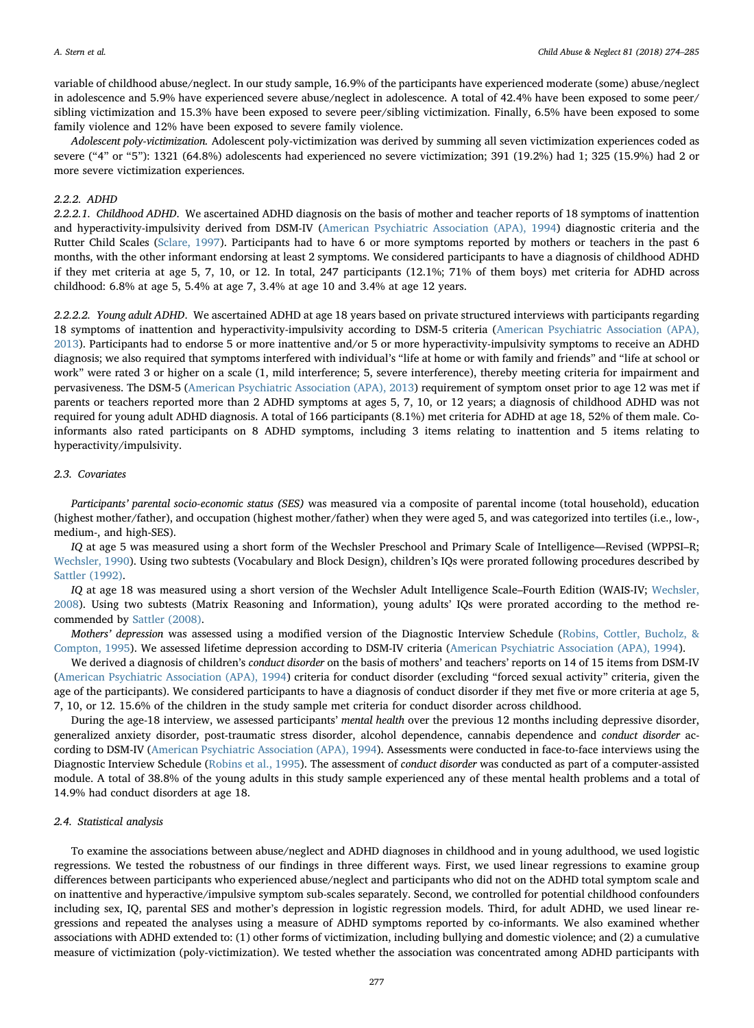variable of childhood abuse/neglect. In our study sample, 16.9% of the participants have experienced moderate (some) abuse/neglect in adolescence and 5.9% have experienced severe abuse/neglect in adolescence. A total of 42.4% have been exposed to some peer/ sibling victimization and 15.3% have been exposed to severe peer/sibling victimization. Finally, 6.5% have been exposed to some family violence and 12% have been exposed to severe family violence.

Adolescent poly-victimization. Adolescent poly-victimization was derived by summing all seven victimization experiences coded as severe ("4" or "5"): 1321 (64.8%) adolescents had experienced no severe victimization; 391 (19.2%) had 1; 325 (15.9%) had 2 or more severe victimization experiences.

#### 2.2.2. ADHD

2.2.2.1. Childhood ADHD. We ascertained ADHD diagnosis on the basis of mother and teacher reports of 18 symptoms of inattention and hyperactivity-impulsivity derived from DSM-IV ([American Psychiatric Association \(APA\), 1994\)](#page-10-37) diagnostic criteria and the Rutter Child Scales [\(Sclare, 1997\)](#page-11-16). Participants had to have 6 or more symptoms reported by mothers or teachers in the past 6 months, with the other informant endorsing at least 2 symptoms. We considered participants to have a diagnosis of childhood ADHD if they met criteria at age 5, 7, 10, or 12. In total, 247 participants (12.1%; 71% of them boys) met criteria for ADHD across childhood: 6.8% at age 5, 5.4% at age 7, 3.4% at age 10 and 3.4% at age 12 years.

2.2.2.2. Young adult ADHD. We ascertained ADHD at age 18 years based on private structured interviews with participants regarding 18 symptoms of inattention and hyperactivity-impulsivity according to DSM-5 criteria ([American Psychiatric Association \(APA\),](#page-10-7) [2013\)](#page-10-7). Participants had to endorse 5 or more inattentive and/or 5 or more hyperactivity-impulsivity symptoms to receive an ADHD diagnosis; we also required that symptoms interfered with individual's "life at home or with family and friends" and "life at school or work" were rated 3 or higher on a scale (1, mild interference; 5, severe interference), thereby meeting criteria for impairment and pervasiveness. The DSM-5 ([American Psychiatric Association \(APA\), 2013](#page-10-7)) requirement of symptom onset prior to age 12 was met if parents or teachers reported more than 2 ADHD symptoms at ages 5, 7, 10, or 12 years; a diagnosis of childhood ADHD was not required for young adult ADHD diagnosis. A total of 166 participants (8.1%) met criteria for ADHD at age 18, 52% of them male. Coinformants also rated participants on 8 ADHD symptoms, including 3 items relating to inattention and 5 items relating to hyperactivity/impulsivity.

#### 2.3. Covariates

Participants' parental socio-economic status (SES) was measured via a composite of parental income (total household), education (highest mother/father), and occupation (highest mother/father) when they were aged 5, and was categorized into tertiles (i.e., low-, medium-, and high-SES).

IQ at age 5 was measured using a short form of the Wechsler Preschool and Primary Scale of Intelligence—Revised (WPPSI–R; [Wechsler, 1990\)](#page-11-17). Using two subtests (Vocabulary and Block Design), children's IQs were prorated following procedures described by [Sattler \(1992\).](#page-11-18)

IQ at age 18 was measured using a short version of the Wechsler Adult Intelligence Scale–Fourth Edition (WAIS-IV; [Wechsler,](#page-11-19) [2008\)](#page-11-19). Using two subtests (Matrix Reasoning and Information), young adults' IQs were prorated according to the method recommended by [Sattler \(2008\)](#page-11-20).

Mothers' depression was assessed using a modified version of the Diagnostic Interview Schedule [\(Robins, Cottler, Bucholz, &](#page-11-21) [Compton, 1995\)](#page-11-21). We assessed lifetime depression according to DSM-IV criteria [\(American Psychiatric Association \(APA\), 1994](#page-10-37)).

We derived a diagnosis of children's conduct disorder on the basis of mothers' and teachers' reports on 14 of 15 items from DSM-IV ([American Psychiatric Association \(APA\), 1994\)](#page-10-37) criteria for conduct disorder (excluding "forced sexual activity" criteria, given the age of the participants). We considered participants to have a diagnosis of conduct disorder if they met five or more criteria at age 5, 7, 10, or 12. 15.6% of the children in the study sample met criteria for conduct disorder across childhood.

During the age-18 interview, we assessed participants' mental health over the previous 12 months including depressive disorder, generalized anxiety disorder, post-traumatic stress disorder, alcohol dependence, cannabis dependence and conduct disorder according to DSM-IV [\(American Psychiatric Association \(APA\), 1994](#page-10-37)). Assessments were conducted in face-to-face interviews using the Diagnostic Interview Schedule ([Robins et al., 1995\)](#page-11-21). The assessment of conduct disorder was conducted as part of a computer-assisted module. A total of 38.8% of the young adults in this study sample experienced any of these mental health problems and a total of 14.9% had conduct disorders at age 18.

# 2.4. Statistical analysis

To examine the associations between abuse/neglect and ADHD diagnoses in childhood and in young adulthood, we used logistic regressions. We tested the robustness of our findings in three different ways. First, we used linear regressions to examine group differences between participants who experienced abuse/neglect and participants who did not on the ADHD total symptom scale and on inattentive and hyperactive/impulsive symptom sub-scales separately. Second, we controlled for potential childhood confounders including sex, IQ, parental SES and mother's depression in logistic regression models. Third, for adult ADHD, we used linear regressions and repeated the analyses using a measure of ADHD symptoms reported by co-informants. We also examined whether associations with ADHD extended to: (1) other forms of victimization, including bullying and domestic violence; and (2) a cumulative measure of victimization (poly-victimization). We tested whether the association was concentrated among ADHD participants with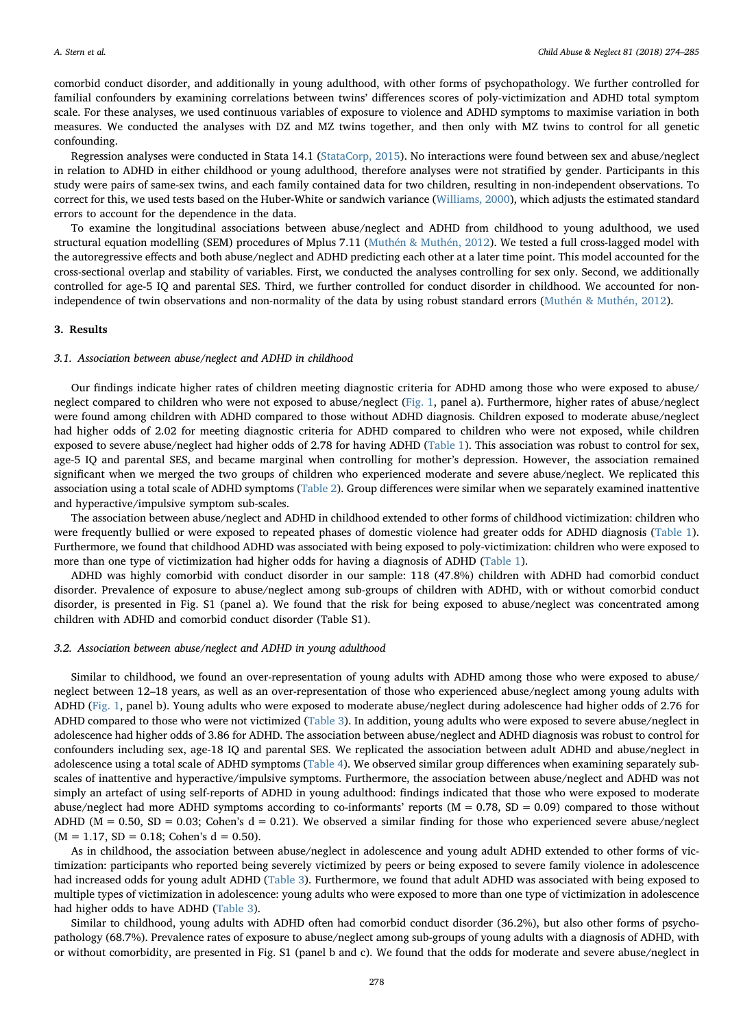comorbid conduct disorder, and additionally in young adulthood, with other forms of psychopathology. We further controlled for familial confounders by examining correlations between twins' differences scores of poly-victimization and ADHD total symptom scale. For these analyses, we used continuous variables of exposure to violence and ADHD symptoms to maximise variation in both measures. We conducted the analyses with DZ and MZ twins together, and then only with MZ twins to control for all genetic confounding.

Regression analyses were conducted in Stata 14.1 ([StataCorp, 2015](#page-11-22)). No interactions were found between sex and abuse/neglect in relation to ADHD in either childhood or young adulthood, therefore analyses were not stratified by gender. Participants in this study were pairs of same-sex twins, and each family contained data for two children, resulting in non-independent observations. To correct for this, we used tests based on the Huber-White or sandwich variance [\(Williams, 2000](#page-11-23)), which adjusts the estimated standard errors to account for the dependence in the data.

To examine the longitudinal associations between abuse/neglect and ADHD from childhood to young adulthood, we used structural equation modelling (SEM) procedures of Mplus 7.11 [\(Muthén & Muthén, 2012\)](#page-10-38). We tested a full cross-lagged model with the autoregressive effects and both abuse/neglect and ADHD predicting each other at a later time point. This model accounted for the cross-sectional overlap and stability of variables. First, we conducted the analyses controlling for sex only. Second, we additionally controlled for age-5 IQ and parental SES. Third, we further controlled for conduct disorder in childhood. We accounted for nonindependence of twin observations and non-normality of the data by using robust standard errors [\(Muthén & Muthén, 2012](#page-10-38)).

# 3. Results

#### 3.1. Association between abuse/neglect and ADHD in childhood

Our findings indicate higher rates of children meeting diagnostic criteria for ADHD among those who were exposed to abuse/ neglect compared to children who were not exposed to abuse/neglect [\(Fig. 1](#page-5-0), panel a). Furthermore, higher rates of abuse/neglect were found among children with ADHD compared to those without ADHD diagnosis. Children exposed to moderate abuse/neglect had higher odds of 2.02 for meeting diagnostic criteria for ADHD compared to children who were not exposed, while children exposed to severe abuse/neglect had higher odds of 2.78 for having ADHD [\(Table 1\)](#page-6-0). This association was robust to control for sex, age-5 IQ and parental SES, and became marginal when controlling for mother's depression. However, the association remained significant when we merged the two groups of children who experienced moderate and severe abuse/neglect. We replicated this association using a total scale of ADHD symptoms [\(Table 2](#page-6-1)). Group differences were similar when we separately examined inattentive and hyperactive/impulsive symptom sub-scales.

The association between abuse/neglect and ADHD in childhood extended to other forms of childhood victimization: children who were frequently bullied or were exposed to repeated phases of domestic violence had greater odds for ADHD diagnosis [\(Table 1\)](#page-6-0). Furthermore, we found that childhood ADHD was associated with being exposed to poly-victimization: children who were exposed to more than one type of victimization had higher odds for having a diagnosis of ADHD ([Table 1](#page-6-0)).

ADHD was highly comorbid with conduct disorder in our sample: 118 (47.8%) children with ADHD had comorbid conduct disorder. Prevalence of exposure to abuse/neglect among sub-groups of children with ADHD, with or without comorbid conduct disorder, is presented in Fig. S1 (panel a). We found that the risk for being exposed to abuse/neglect was concentrated among children with ADHD and comorbid conduct disorder (Table S1).

#### 3.2. Association between abuse/neglect and ADHD in young adulthood

Similar to childhood, we found an over-representation of young adults with ADHD among those who were exposed to abuse/ neglect between 12–18 years, as well as an over-representation of those who experienced abuse/neglect among young adults with ADHD ([Fig. 1,](#page-5-0) panel b). Young adults who were exposed to moderate abuse/neglect during adolescence had higher odds of 2.76 for ADHD compared to those who were not victimized ([Table 3\)](#page-6-2). In addition, young adults who were exposed to severe abuse/neglect in adolescence had higher odds of 3.86 for ADHD. The association between abuse/neglect and ADHD diagnosis was robust to control for confounders including sex, age-18 IQ and parental SES. We replicated the association between adult ADHD and abuse/neglect in adolescence using a total scale of ADHD symptoms [\(Table 4](#page-6-3)). We observed similar group differences when examining separately subscales of inattentive and hyperactive/impulsive symptoms. Furthermore, the association between abuse/neglect and ADHD was not simply an artefact of using self-reports of ADHD in young adulthood: findings indicated that those who were exposed to moderate abuse/neglect had more ADHD symptoms according to co-informants' reports ( $M = 0.78$ ,  $SD = 0.09$ ) compared to those without ADHD ( $M = 0.50$ ,  $SD = 0.03$ ; Cohen's  $d = 0.21$ ). We observed a similar finding for those who experienced severe abuse/neglect  $(M = 1.17, SD = 0.18; Cohen's d = 0.50).$ 

As in childhood, the association between abuse/neglect in adolescence and young adult ADHD extended to other forms of victimization: participants who reported being severely victimized by peers or being exposed to severe family violence in adolescence had increased odds for young adult ADHD ([Table 3\)](#page-6-2). Furthermore, we found that adult ADHD was associated with being exposed to multiple types of victimization in adolescence: young adults who were exposed to more than one type of victimization in adolescence had higher odds to have ADHD [\(Table 3](#page-6-2)).

Similar to childhood, young adults with ADHD often had comorbid conduct disorder (36.2%), but also other forms of psychopathology (68.7%). Prevalence rates of exposure to abuse/neglect among sub-groups of young adults with a diagnosis of ADHD, with or without comorbidity, are presented in Fig. S1 (panel b and c). We found that the odds for moderate and severe abuse/neglect in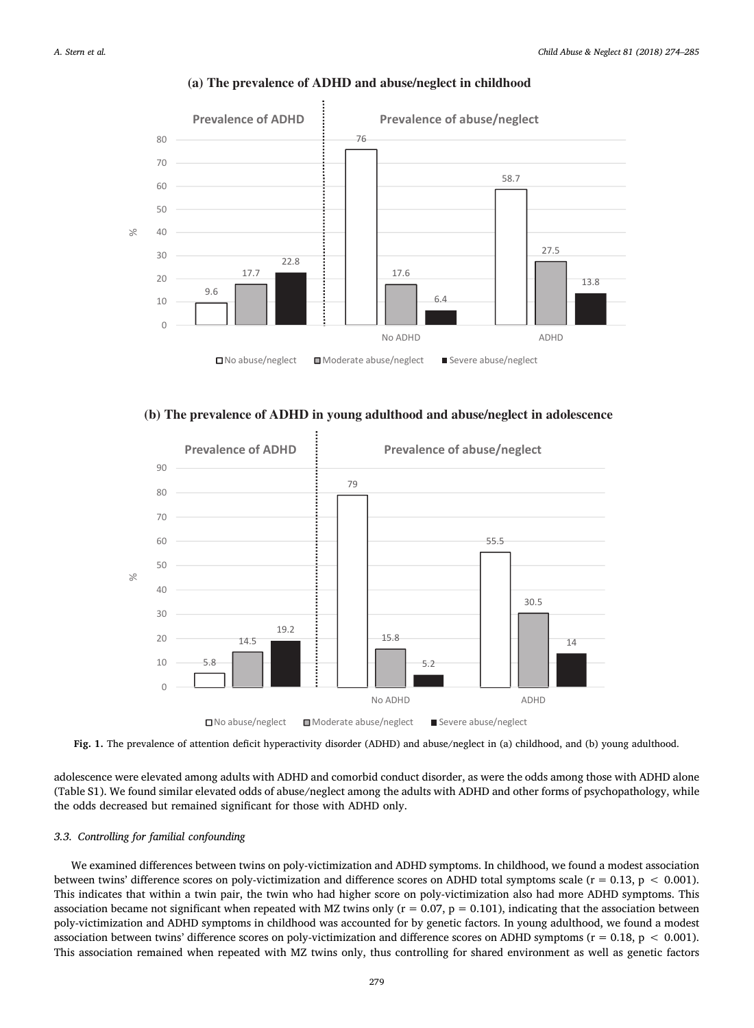<span id="page-5-0"></span>

# **(a) The prevalence of ADHD and abuse/neglect in childhood**





Fig. 1. The prevalence of attention deficit hyperactivity disorder (ADHD) and abuse/neglect in (a) childhood, and (b) young adulthood.

adolescence were elevated among adults with ADHD and comorbid conduct disorder, as were the odds among those with ADHD alone (Table S1). We found similar elevated odds of abuse/neglect among the adults with ADHD and other forms of psychopathology, while the odds decreased but remained significant for those with ADHD only.

# 3.3. Controlling for familial confounding

We examined differences between twins on poly-victimization and ADHD symptoms. In childhood, we found a modest association between twins' difference scores on poly-victimization and difference scores on ADHD total symptoms scale ( $r = 0.13$ ,  $p < 0.001$ ). This indicates that within a twin pair, the twin who had higher score on poly-victimization also had more ADHD symptoms. This association became not significant when repeated with MZ twins only ( $r = 0.07$ ,  $p = 0.101$ ), indicating that the association between poly-victimization and ADHD symptoms in childhood was accounted for by genetic factors. In young adulthood, we found a modest association between twins' difference scores on poly-victimization and difference scores on ADHD symptoms ( $r = 0.18$ ,  $p < 0.001$ ). This association remained when repeated with MZ twins only, thus controlling for shared environment as well as genetic factors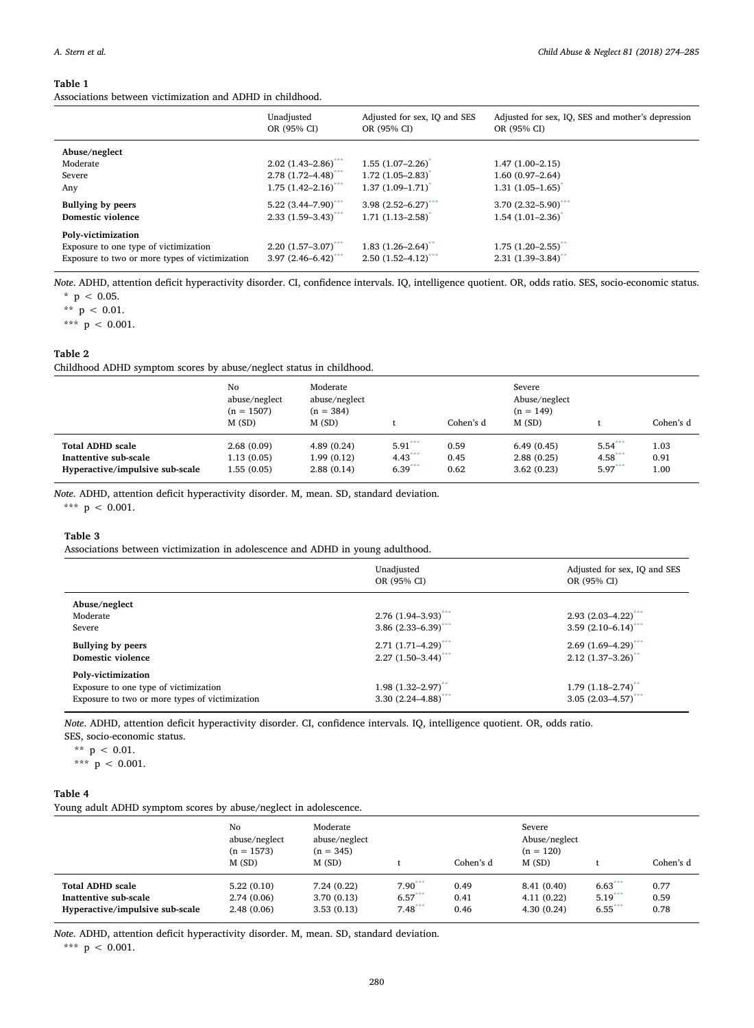#### <span id="page-6-0"></span>Table 1

Associations between victimization and ADHD in childhood.

|                                                | Unadjusted<br>OR (95% CI)         | Adjusted for sex, IQ and SES<br>OR (95% CI) | Adjusted for sex, IQ, SES and mother's depression<br>OR (95% CI) |
|------------------------------------------------|-----------------------------------|---------------------------------------------|------------------------------------------------------------------|
| Abuse/neglect                                  |                                   |                                             |                                                                  |
| Moderate                                       | $2.02(1.43 - 2.86)^{***}$         | $1.55(1.07-2.26)$ <sup>*</sup>              | $1.47(1.00-2.15)$                                                |
| Severe                                         | $2.78$ (1.72–4.48) <sup>***</sup> | $1.72$ (1.05–2.83) <sup>*</sup>             | $1.60(0.97-2.64)$                                                |
| Any                                            | $1.75$ $(1.42 - 2.16)^{***}$      | $1.37(1.09-1.71)^{*}$                       | $1.31 (1.05 - 1.65)^{*}$                                         |
| Bullying by peers                              | $5.22$ (3.44–7.90) <sup>***</sup> | $3.98$ $(2.52 - 6.27)^{***}$                | $3.70(2.32 - 5.90)^{***}$                                        |
| Domestic violence                              | $2.33$ $(1.59 - 3.43)^{***}$      | $1.71$ $(1.13 - 2.58)^{*}$                  | $1.54(1.01 - 2.36)^{*}$                                          |
| Poly-victimization                             |                                   |                                             |                                                                  |
| Exposure to one type of victimization          | $2.20(1.57-3.07)$ ***             | $1.83$ $(1.26 - 2.64)^{**}$                 | $1.75(1.20 - 2.55)^{**}$                                         |
| Exposure to two or more types of victimization | $3.97(2.46 - 6.42)^{***}$         | $2.50(1.52 - 4.12)^{***}$                   | $2.31(1.39 - 3.84)$                                              |

<span id="page-6-5"></span>Note. ADHD, attention deficit hyperactivity disorder. CI, confidence intervals. IQ, intelligence quotient. OR, odds ratio. SES, socio-economic status.  $*$  p < 0.05.

<span id="page-6-6"></span>\*\*  $p$  < 0.01.

<span id="page-6-4"></span>\*\*\*  $p$  < 0.001.

# <span id="page-6-1"></span>Table 2

Childhood ADHD symptom scores by abuse/neglect status in childhood.

|                                 | No<br>abuse/neglect<br>$(n = 1507)$<br>M(SD) | Moderate<br>abuse/neglect<br>$(n = 384)$<br>M(SD) |           | Cohen's d | Severe<br>Abuse/neglect<br>$(n = 149)$<br>M(SD) |           | Cohen's d |
|---------------------------------|----------------------------------------------|---------------------------------------------------|-----------|-----------|-------------------------------------------------|-----------|-----------|
| <b>Total ADHD scale</b>         | 2.68(0.09)                                   | 4.89(0.24)                                        | $5.91***$ | 0.59      | 6.49(0.45)                                      | $5.54***$ | 1.03      |
| Inattentive sub-scale           | 1.13(0.05)                                   | 1.99(0.12)                                        | $4.43***$ | 0.45      | 2.88(0.25)                                      | $4.58***$ | 0.91      |
| Hyperactive/impulsive sub-scale | 1.55(0.05)                                   | 2.88(0.14)                                        | $6.39***$ | 0.62      | 3.62(0.23)                                      | $5.97***$ | 1.00      |

Note. ADHD, attention deficit hyperactivity disorder. M, mean. SD, standard deviation.

<span id="page-6-7"></span>\*\*\*  $p < 0.001$ .

# <span id="page-6-2"></span>Table 3

Associations between victimization in adolescence and ADHD in young adulthood.

|                                                                                                               | Unadjusted<br>OR (95% CI)                                              | Adjusted for sex, IQ and SES<br>OR (95% CI)                 |
|---------------------------------------------------------------------------------------------------------------|------------------------------------------------------------------------|-------------------------------------------------------------|
| Abuse/neglect<br>Moderate<br>Severe                                                                           | $2.76$ (1.94-3.93) <sup>***</sup><br>$3.86$ (2.33-6.39) <sup>***</sup> | $2.93(2.03 - 4.22)^{***}$<br>$3.59(2.10-6.14)^{***}$        |
| <b>Bullying by peers</b><br>Domestic violence                                                                 | $2.71(1.71 - 4.29)^{***}$<br>$2.27(1.50-3.44)^{***}$                   | $2.69(1.69-4.29)^{***}$<br>$2.12$ (1.37-3.26) <sup>**</sup> |
| Poly-victimization<br>Exposure to one type of victimization<br>Exposure to two or more types of victimization | $1.98$ $(1.32 - 2.97)^{**}$<br>$3.30(2.24 - 4.88)^{***}$               | $1.79(1.18 - 2.74)^{**}$<br>$3.05(2.03 - 4.57)^{***}$       |

Note. ADHD, attention deficit hyperactivity disorder. CI, confidence intervals. IQ, intelligence quotient. OR, odds ratio.

SES, socio-economic status.

<span id="page-6-9"></span>\*\*  $p$  < 0.01.

<span id="page-6-8"></span>\*\*\* p < 0.001.

#### <span id="page-6-3"></span>Table 4

Young adult ADHD symptom scores by abuse/neglect in adolescence.

|                                 | No<br>abuse/neglect<br>$(n = 1573)$<br>M(SD) | Moderate<br>abuse/neglect<br>$(n = 345)$<br>M(SD) |           | Cohen's d | Severe<br>Abuse/neglect<br>$(n = 120)$<br>M(SD) |           | Cohen's d |
|---------------------------------|----------------------------------------------|---------------------------------------------------|-----------|-----------|-------------------------------------------------|-----------|-----------|
| <b>Total ADHD scale</b>         | 5.22(0.10)                                   | 7.24(0.22)                                        | $7.90***$ | 0.49      | 8.41 (0.40)                                     | $6.63***$ | 0.77      |
| Inattentive sub-scale           | 2.74(0.06)                                   | 3.70(0.13)                                        | $6.57***$ | 0.41      | 4.11(0.22)                                      | $5.19***$ | 0.59      |
| Hyperactive/impulsive sub-scale | 2.48(0.06)                                   | 3.53(0.13)                                        | $7.48***$ | 0.46      | 4.30(0.24)                                      | $6.55***$ | 0.78      |

<span id="page-6-10"></span>Note. ADHD, attention deficit hyperactivity disorder. M, mean. SD, standard deviation. \*\*\*  $p$  < 0.001.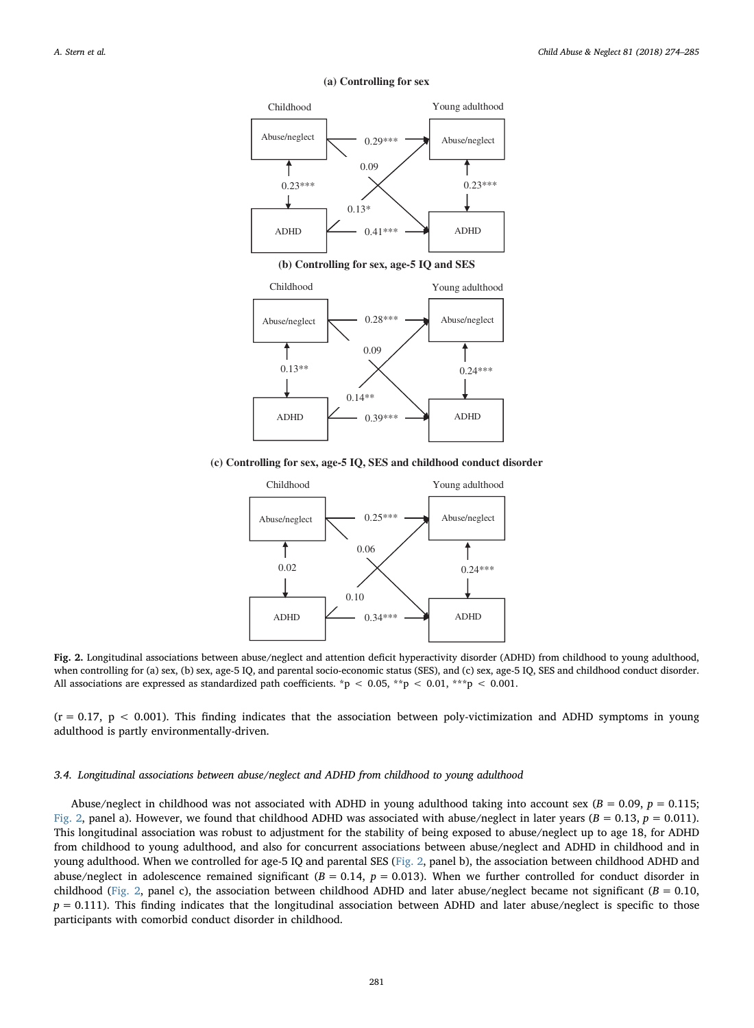<span id="page-7-0"></span>

#### **(a) Controlling for sex**

**(b) Controlling for sex, age-5 IQ and SES**



**(c) Controlling for sex, age-5 IQ, SES and childhood conduct disorder**



Fig. 2. Longitudinal associations between abuse/neglect and attention deficit hyperactivity disorder (ADHD) from childhood to young adulthood, when controlling for (a) sex, (b) sex, age-5 IQ, and parental socio-economic status (SES), and (c) sex, age-5 IQ, SES and childhood conduct disorder. All associations are expressed as standardized path coefficients. \*p < 0.05, \*\*p < 0.01, \*\*\*p < 0.001.

 $(r = 0.17, p < 0.001)$ . This finding indicates that the association between poly-victimization and ADHD symptoms in young adulthood is partly environmentally-driven.

## 3.4. Longitudinal associations between abuse/neglect and ADHD from childhood to young adulthood

Abuse/neglect in childhood was not associated with ADHD in young adulthood taking into account sex ( $B = 0.09$ ,  $p = 0.115$ ; [Fig. 2](#page-7-0), panel a). However, we found that childhood ADHD was associated with abuse/neglect in later years ( $B = 0.13$ ,  $p = 0.011$ ). This longitudinal association was robust to adjustment for the stability of being exposed to abuse/neglect up to age 18, for ADHD from childhood to young adulthood, and also for concurrent associations between abuse/neglect and ADHD in childhood and in young adulthood. When we controlled for age-5 IQ and parental SES ([Fig. 2,](#page-7-0) panel b), the association between childhood ADHD and abuse/neglect in adolescence remained significant  $(B = 0.14, p = 0.013)$ . When we further controlled for conduct disorder in childhood ([Fig. 2](#page-7-0), panel c), the association between childhood ADHD and later abuse/neglect became not significant ( $B = 0.10$ ,  $p = 0.111$ ). This finding indicates that the longitudinal association between ADHD and later abuse/neglect is specific to those participants with comorbid conduct disorder in childhood.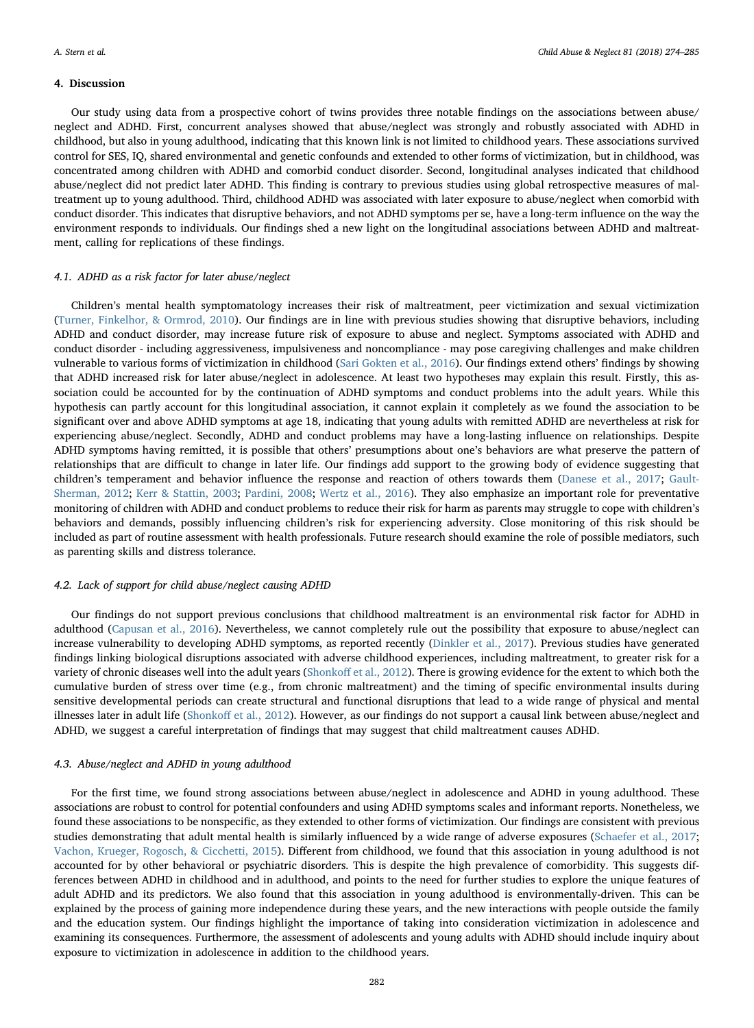# 4. Discussion

Our study using data from a prospective cohort of twins provides three notable findings on the associations between abuse/ neglect and ADHD. First, concurrent analyses showed that abuse/neglect was strongly and robustly associated with ADHD in childhood, but also in young adulthood, indicating that this known link is not limited to childhood years. These associations survived control for SES, IQ, shared environmental and genetic confounds and extended to other forms of victimization, but in childhood, was concentrated among children with ADHD and comorbid conduct disorder. Second, longitudinal analyses indicated that childhood abuse/neglect did not predict later ADHD. This finding is contrary to previous studies using global retrospective measures of maltreatment up to young adulthood. Third, childhood ADHD was associated with later exposure to abuse/neglect when comorbid with conduct disorder. This indicates that disruptive behaviors, and not ADHD symptoms per se, have a long-term influence on the way the environment responds to individuals. Our findings shed a new light on the longitudinal associations between ADHD and maltreatment, calling for replications of these findings.

#### 4.1. ADHD as a risk factor for later abuse/neglect

Children's mental health symptomatology increases their risk of maltreatment, peer victimization and sexual victimization ([Turner, Finkelhor, & Ormrod, 2010](#page-11-24)). Our findings are in line with previous studies showing that disruptive behaviors, including ADHD and conduct disorder, may increase future risk of exposure to abuse and neglect. Symptoms associated with ADHD and conduct disorder - including aggressiveness, impulsiveness and noncompliance - may pose caregiving challenges and make children vulnerable to various forms of victimization in childhood ([Sari Gokten et al., 2016\)](#page-11-8). Our findings extend others' findings by showing that ADHD increased risk for later abuse/neglect in adolescence. At least two hypotheses may explain this result. Firstly, this association could be accounted for by the continuation of ADHD symptoms and conduct problems into the adult years. While this hypothesis can partly account for this longitudinal association, it cannot explain it completely as we found the association to be significant over and above ADHD symptoms at age 18, indicating that young adults with remitted ADHD are nevertheless at risk for experiencing abuse/neglect. Secondly, ADHD and conduct problems may have a long-lasting influence on relationships. Despite ADHD symptoms having remitted, it is possible that others' presumptions about one's behaviors are what preserve the pattern of relationships that are difficult to change in later life. Our findings add support to the growing body of evidence suggesting that children's temperament and behavior influence the response and reaction of others towards them ([Danese et al., 2017;](#page-10-33) [Gault-](#page-10-39)[Sherman, 2012](#page-10-39); [Kerr & Stattin, 2003;](#page-10-40) [Pardini, 2008;](#page-10-41) [Wertz et al., 2016](#page-11-25)). They also emphasize an important role for preventative monitoring of children with ADHD and conduct problems to reduce their risk for harm as parents may struggle to cope with children's behaviors and demands, possibly influencing children's risk for experiencing adversity. Close monitoring of this risk should be included as part of routine assessment with health professionals. Future research should examine the role of possible mediators, such as parenting skills and distress tolerance.

# 4.2. Lack of support for child abuse/neglect causing ADHD

Our findings do not support previous conclusions that childhood maltreatment is an environmental risk factor for ADHD in adulthood ([Capusan et al., 2016\)](#page-10-27). Nevertheless, we cannot completely rule out the possibility that exposure to abuse/neglect can increase vulnerability to developing ADHD symptoms, as reported recently ([Dinkler et al., 2017\)](#page-10-22). Previous studies have generated findings linking biological disruptions associated with adverse childhood experiences, including maltreatment, to greater risk for a variety of chronic diseases well into the adult years (Shonkoff [et al., 2012](#page-11-2)). There is growing evidence for the extent to which both the cumulative burden of stress over time (e.g., from chronic maltreatment) and the timing of specific environmental insults during sensitive developmental periods can create structural and functional disruptions that lead to a wide range of physical and mental illnesses later in adult life (Shonkoff [et al., 2012](#page-11-2)). However, as our findings do not support a causal link between abuse/neglect and ADHD, we suggest a careful interpretation of findings that may suggest that child maltreatment causes ADHD.

## 4.3. Abuse/neglect and ADHD in young adulthood

For the first time, we found strong associations between abuse/neglect in adolescence and ADHD in young adulthood. These associations are robust to control for potential confounders and using ADHD symptoms scales and informant reports. Nonetheless, we found these associations to be nonspecific, as they extended to other forms of victimization. Our findings are consistent with previous studies demonstrating that adult mental health is similarly influenced by a wide range of adverse exposures ([Schaefer et al., 2017;](#page-11-15) [Vachon, Krueger, Rogosch, & Cicchetti, 2015](#page-11-26)). Different from childhood, we found that this association in young adulthood is not accounted for by other behavioral or psychiatric disorders. This is despite the high prevalence of comorbidity. This suggests differences between ADHD in childhood and in adulthood, and points to the need for further studies to explore the unique features of adult ADHD and its predictors. We also found that this association in young adulthood is environmentally-driven. This can be explained by the process of gaining more independence during these years, and the new interactions with people outside the family and the education system. Our findings highlight the importance of taking into consideration victimization in adolescence and examining its consequences. Furthermore, the assessment of adolescents and young adults with ADHD should include inquiry about exposure to victimization in adolescence in addition to the childhood years.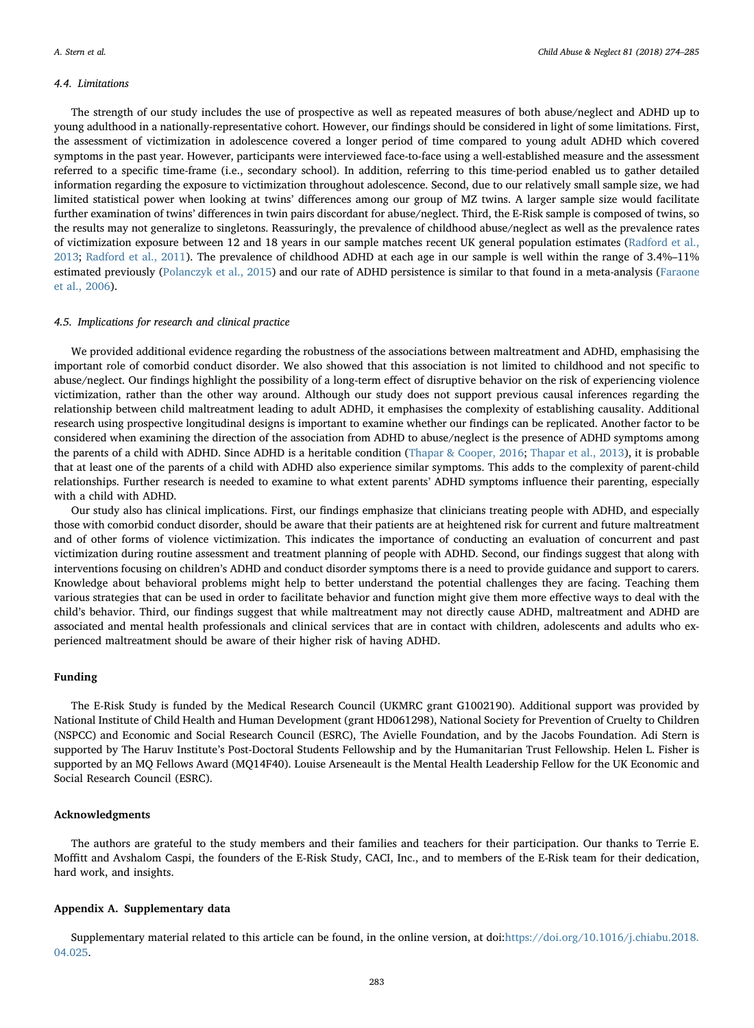# 4.4. Limitations

The strength of our study includes the use of prospective as well as repeated measures of both abuse/neglect and ADHD up to young adulthood in a nationally-representative cohort. However, our findings should be considered in light of some limitations. First, the assessment of victimization in adolescence covered a longer period of time compared to young adult ADHD which covered symptoms in the past year. However, participants were interviewed face-to-face using a well-established measure and the assessment referred to a specific time-frame (i.e., secondary school). In addition, referring to this time-period enabled us to gather detailed information regarding the exposure to victimization throughout adolescence. Second, due to our relatively small sample size, we had limited statistical power when looking at twins' differences among our group of MZ twins. A larger sample size would facilitate further examination of twins' differences in twin pairs discordant for abuse/neglect. Third, the E-Risk sample is composed of twins, so the results may not generalize to singletons. Reassuringly, the prevalence of childhood abuse/neglect as well as the prevalence rates of victimization exposure between 12 and 18 years in our sample matches recent UK general population estimates [\(Radford et al.,](#page-11-1) [2013;](#page-11-1) [Radford et al., 2011](#page-11-0)). The prevalence of childhood ADHD at each age in our sample is well within the range of 3.4%–11% estimated previously ([Polanczyk et al., 2015](#page-10-8)) and our rate of ADHD persistence is similar to that found in a meta-analysis ([Faraone](#page-10-15) [et al., 2006\)](#page-10-15).

#### 4.5. Implications for research and clinical practice

We provided additional evidence regarding the robustness of the associations between maltreatment and ADHD, emphasising the important role of comorbid conduct disorder. We also showed that this association is not limited to childhood and not specific to abuse/neglect. Our findings highlight the possibility of a long-term effect of disruptive behavior on the risk of experiencing violence victimization, rather than the other way around. Although our study does not support previous causal inferences regarding the relationship between child maltreatment leading to adult ADHD, it emphasises the complexity of establishing causality. Additional research using prospective longitudinal designs is important to examine whether our findings can be replicated. Another factor to be considered when examining the direction of the association from ADHD to abuse/neglect is the presence of ADHD symptoms among the parents of a child with ADHD. Since ADHD is a heritable condition [\(Thapar & Cooper, 2016;](#page-11-5) [Thapar et al., 2013\)](#page-11-6), it is probable that at least one of the parents of a child with ADHD also experience similar symptoms. This adds to the complexity of parent-child relationships. Further research is needed to examine to what extent parents' ADHD symptoms influence their parenting, especially with a child with ADHD.

Our study also has clinical implications. First, our findings emphasize that clinicians treating people with ADHD, and especially those with comorbid conduct disorder, should be aware that their patients are at heightened risk for current and future maltreatment and of other forms of violence victimization. This indicates the importance of conducting an evaluation of concurrent and past victimization during routine assessment and treatment planning of people with ADHD. Second, our findings suggest that along with interventions focusing on children's ADHD and conduct disorder symptoms there is a need to provide guidance and support to carers. Knowledge about behavioral problems might help to better understand the potential challenges they are facing. Teaching them various strategies that can be used in order to facilitate behavior and function might give them more effective ways to deal with the child's behavior. Third, our findings suggest that while maltreatment may not directly cause ADHD, maltreatment and ADHD are associated and mental health professionals and clinical services that are in contact with children, adolescents and adults who experienced maltreatment should be aware of their higher risk of having ADHD.

#### Funding

The E-Risk Study is funded by the Medical Research Council (UKMRC grant G1002190). Additional support was provided by National Institute of Child Health and Human Development (grant HD061298), National Society for Prevention of Cruelty to Children (NSPCC) and Economic and Social Research Council (ESRC), The Avielle Foundation, and by the Jacobs Foundation. Adi Stern is supported by The Haruv Institute's Post-Doctoral Students Fellowship and by the Humanitarian Trust Fellowship. Helen L. Fisher is supported by an MQ Fellows Award (MQ14F40). Louise Arseneault is the Mental Health Leadership Fellow for the UK Economic and Social Research Council (ESRC).

# Acknowledgments

The authors are grateful to the study members and their families and teachers for their participation. Our thanks to Terrie E. Moffitt and Avshalom Caspi, the founders of the E-Risk Study, CACI, Inc., and to members of the E-Risk team for their dedication, hard work, and insights.

#### Appendix A. Supplementary data

Supplementary material related to this article can be found, in the online version, at doi:[https://doi.org/10.1016/j.chiabu.2018.](https://doi.org/10.1016/j.chiabu.2018.04.025) [04.025.](https://doi.org/10.1016/j.chiabu.2018.04.025)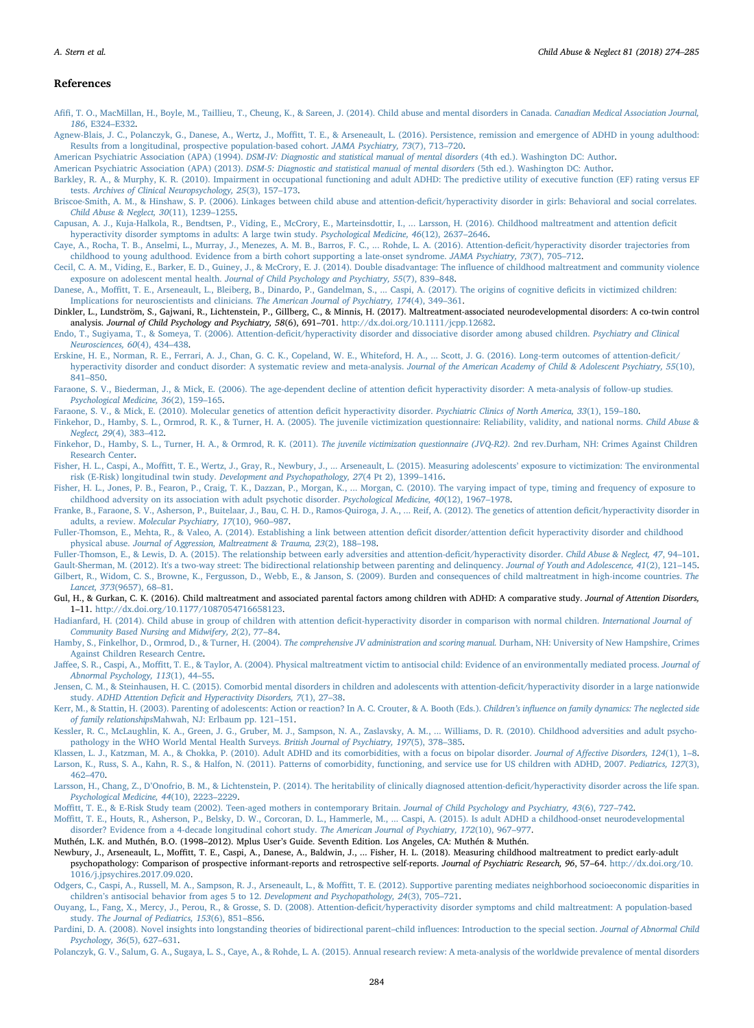#### References

- <span id="page-10-0"></span>Afifi[, T. O., MacMillan, H., Boyle, M., Taillieu, T., Cheung, K., & Sareen, J. \(2014\). Child abuse and mental disorders in Canada.](http://refhub.elsevier.com/S0145-2134(18)30185-6/sbref0005) Canadian Medical Association Journal, 186[, E324](http://refhub.elsevier.com/S0145-2134(18)30185-6/sbref0005)–E332.
- <span id="page-10-13"></span>Agnew-Blais, J. C., Polanczyk, G., Danese, A., Wertz, J., Moffi[tt, T. E., & Arseneault, L. \(2016\). Persistence, remission and emergence of ADHD in young adulthood:](http://refhub.elsevier.com/S0145-2134(18)30185-6/sbref0010) [Results from a longitudinal, prospective population-based cohort.](http://refhub.elsevier.com/S0145-2134(18)30185-6/sbref0010) JAMA Psychiatry, 73(7), 713–720.
- <span id="page-10-37"></span>American Psychiatric Association (APA) (1994). [DSM-IV: Diagnostic and statistical manual of mental disorders](http://refhub.elsevier.com/S0145-2134(18)30185-6/sbref0015) (4th ed.). Washington DC: Author.

<span id="page-10-7"></span>American Psychiatric Association (APA) (2013). [DSM-5: Diagnostic and statistical manual of mental disorders](http://refhub.elsevier.com/S0145-2134(18)30185-6/sbref0020) (5th ed.). Washington DC: Author.

<span id="page-10-18"></span>[Barkley, R. A., & Murphy, K. R. \(2010\). Impairment in occupational functioning and adult ADHD: The predictive utility of executive function \(EF\) rating versus EF](http://refhub.elsevier.com/S0145-2134(18)30185-6/sbref0025) tests. [Archives of Clinical Neuropsychology, 25](http://refhub.elsevier.com/S0145-2134(18)30185-6/sbref0025)(3), 157–173.

<span id="page-10-27"></span>[Capusan, A. J., Kuja-Halkola, R., Bendtsen, P., Viding, E., McCrory, E., Marteinsdottir, I., ... Larsson, H. \(2016\). Childhood maltreatment and attention de](http://refhub.elsevier.com/S0145-2134(18)30185-6/sbref0035)ficit [hyperactivity disorder symptoms in adults: A large twin study.](http://refhub.elsevier.com/S0145-2134(18)30185-6/sbref0035) Psychological Medicine, 46(12), 2637–2646.

<span id="page-10-14"></span>[Caye, A., Rocha, T. B., Anselmi, L., Murray, J., Menezes, A. M. B., Barros, F. C., ... Rohde, L. A. \(2016\). Attention-de](http://refhub.elsevier.com/S0145-2134(18)30185-6/sbref0040)ficit/hyperactivity disorder trajectories from [childhood to young adulthood. Evidence from a birth cohort supporting a late-onset syndrome.](http://refhub.elsevier.com/S0145-2134(18)30185-6/sbref0040) JAMA Psychiatry, 73(7), 705–712.

<span id="page-10-4"></span>[Cecil, C. A. M., Viding, E., Barker, E. D., Guiney, J., & McCrory, E. J. \(2014\). Double disadvantage: The in](http://refhub.elsevier.com/S0145-2134(18)30185-6/sbref0045)fluence of childhood maltreatment and community violence exposure on adolescent mental health. [Journal of Child Psychology and Psychiatry, 55](http://refhub.elsevier.com/S0145-2134(18)30185-6/sbref0045)(7), 839–848.

<span id="page-10-33"></span>Danese, A., Moffi[tt, T. E., Arseneault, L., Bleiberg, B., Dinardo, P., Gandelman, S., ... Caspi, A. \(2017\). The origins of cognitive de](http://refhub.elsevier.com/S0145-2134(18)30185-6/sbref0050)ficits in victimized children: [Implications for neuroscientists and clinicians.](http://refhub.elsevier.com/S0145-2134(18)30185-6/sbref0050) The American Journal of Psychiatry, 174(4), 349–361.

<span id="page-10-22"></span>Dinkler, L., Lundström, S., Gajwani, R., Lichtenstein, P., Gillberg, C., & Minnis, H. (2017). Maltreatment-associated neurodevelopmental disorders: A co-twin control analysis. Journal of Child Psychology and Psychiatry, 58(6), 691–701. <http://dx.doi.org/10.1111/jcpp.12682>.

<span id="page-10-23"></span>Endo, T., Sugiyama, T., & Someya, T. (2006). Attention-defi[cit/hyperactivity disorder and dissociative disorder among abused children.](http://refhub.elsevier.com/S0145-2134(18)30185-6/sbref0060) Psychiatry and Clinical [Neurosciences, 60](http://refhub.elsevier.com/S0145-2134(18)30185-6/sbref0060)(4), 434–438.

<span id="page-10-19"></span>[Erskine, H. E., Norman, R. E., Ferrari, A. J., Chan, G. C. K., Copeland, W. E., Whiteford, H. A., ... Scott, J. G. \(2016\). Long-term outcomes of attention-de](http://refhub.elsevier.com/S0145-2134(18)30185-6/sbref0065)ficit/ hyperactivity [disorder and conduct disorder: A systematic review and meta-analysis.](http://refhub.elsevier.com/S0145-2134(18)30185-6/sbref0065) Journal of the American Academy of Child & Adolescent Psychiatry, 55(10), 841–[850.](http://refhub.elsevier.com/S0145-2134(18)30185-6/sbref0065)

<span id="page-10-15"></span>[Faraone, S. V., Biederman, J., & Mick, E. \(2006\). The age-dependent decline of attention de](http://refhub.elsevier.com/S0145-2134(18)30185-6/sbref0070)ficit hyperactivity disorder: A meta-analysis of follow-up studies. [Psychological Medicine, 36](http://refhub.elsevier.com/S0145-2134(18)30185-6/sbref0070)(2), 159–165.

<span id="page-10-11"></span>[Faraone, S. V., & Mick, E. \(2010\). Molecular genetics of attention de](http://refhub.elsevier.com/S0145-2134(18)30185-6/sbref0075)ficit hyperactivity disorder. Psychiatric Clinics of North America, 33(1), 159–180.

<span id="page-10-36"></span>[Finkehor, D., Hamby, S. L., Ormrod, R. K., & Turner, H. A. \(2005\). The juvenile victimization questionnaire: Reliability, validity, and national norms.](http://refhub.elsevier.com/S0145-2134(18)30185-6/sbref0080) Child Abuse & [Neglect, 29](http://refhub.elsevier.com/S0145-2134(18)30185-6/sbref0080)(4), 383–412.

<span id="page-10-34"></span>[Finkehor, D., Hamby, S. L., Turner, H. A., & Ormrod, R. K. \(2011\).](http://refhub.elsevier.com/S0145-2134(18)30185-6/sbref0085) The juvenile victimization questionnaire (JVQ-R2). 2nd rev.Durham, NH: Crimes Against Children [Research Center.](http://refhub.elsevier.com/S0145-2134(18)30185-6/sbref0085)

<span id="page-10-30"></span>Fisher, H. L., Caspi, A., Moffi[tt, T. E., Wertz, J., Gray, R., Newbury, J., ... Arseneault, L. \(2015\). Measuring adolescents](http://refhub.elsevier.com/S0145-2134(18)30185-6/sbref0090)' exposure to victimization: The environmental [risk \(E-Risk\) longitudinal twin study.](http://refhub.elsevier.com/S0145-2134(18)30185-6/sbref0090) Development and Psychopathology, 27(4 Pt 2), 1399–1416.

<span id="page-10-5"></span>[Fisher, H. L., Jones, P. B., Fearon, P., Craig, T. K., Dazzan, P., Morgan, K., ... Morgan, C. \(2010\). The varying impact of type, timing and frequency of exposure to](http://refhub.elsevier.com/S0145-2134(18)30185-6/sbref0095) [childhood adversity on its association with adult psychotic disorder.](http://refhub.elsevier.com/S0145-2134(18)30185-6/sbref0095) Psychological Medicine, 40(12), 1967–1978.

<span id="page-10-17"></span>[Franke, B., Faraone, S. V., Asherson, P., Buitelaar, J., Bau, C. H. D., Ramos-Quiroga, J. A., ... Reif, A. \(2012\). The genetics of attention de](http://refhub.elsevier.com/S0145-2134(18)30185-6/sbref0100)ficit/hyperactivity disorder in adults, a review. [Molecular Psychiatry, 17](http://refhub.elsevier.com/S0145-2134(18)30185-6/sbref0100)(10), 960–987.

<span id="page-10-29"></span>[Fuller-Thomson, E., Mehta, R., & Valeo, A. \(2014\). Establishing a link between attention de](http://refhub.elsevier.com/S0145-2134(18)30185-6/sbref0105)ficit disorder/attention deficit hyperactivity disorder and childhood physical abuse. [Journal of Aggression, Maltreatment & Trauma, 23](http://refhub.elsevier.com/S0145-2134(18)30185-6/sbref0105)(2), 188–198.

<span id="page-10-28"></span>[Fuller-Thomson, E., & Lewis, D. A. \(2015\). The relationship between early adversities and attention-de](http://refhub.elsevier.com/S0145-2134(18)30185-6/sbref0110)ficit/hyperactivity disorder. Child Abuse & Neglect, 47, 94–101.

<span id="page-10-39"></span><span id="page-10-1"></span>[Gault-Sherman, M. \(2012\). It's a two-way street: The bidirectional relationship between parenting and delinquency.](http://refhub.elsevier.com/S0145-2134(18)30185-6/sbref0115) Journal of Youth and Adolescence, 41(2), 121–145. [Gilbert, R., Widom, C. S., Browne, K., Fergusson, D., Webb, E., & Janson, S. \(2009\). Burden and consequences of child maltreatment in high-income countries.](http://refhub.elsevier.com/S0145-2134(18)30185-6/sbref0120) The

[Lancet, 373](http://refhub.elsevier.com/S0145-2134(18)30185-6/sbref0120)(9657), 68–81.

<span id="page-10-24"></span>Gul, H., & Gurkan, C. K. (2016). Child maltreatment and associated parental factors among children with ADHD: A comparative study. Journal of Attention Disorders, 1–11. <http://dx.doi.org/10.1177/1087054716658123>.

<span id="page-10-25"></span>Hadianfard, H. (2014). Child abuse in group of children with attention defi[cit-hyperactivity disorder in comparison with normal children.](http://refhub.elsevier.com/S0145-2134(18)30185-6/sbref0130) International Journal of [Community Based Nursing and Midwifery, 2](http://refhub.elsevier.com/S0145-2134(18)30185-6/sbref0130)(2), 77–84.

<span id="page-10-35"></span>[Hamby, S., Finkelhor, D., Ormrod, D., & Turner, H. \(2004\).](http://refhub.elsevier.com/S0145-2134(18)30185-6/sbref0135) The comprehensive JV administration and scoring manual. Durham, NH: University of New Hampshire, Crimes [Against Children Research Centre.](http://refhub.elsevier.com/S0145-2134(18)30185-6/sbref0135)

- <span id="page-10-2"></span>Jaffee, S. R., Caspi, A., Moffi[tt, T. E., & Taylor, A. \(2004\). Physical maltreatment victim to antisocial child: Evidence of an environmentally mediated process.](http://refhub.elsevier.com/S0145-2134(18)30185-6/sbref0140) Journal of [Abnormal Psychology, 113](http://refhub.elsevier.com/S0145-2134(18)30185-6/sbref0140)(1), 44–55.
- <span id="page-10-10"></span>[Jensen, C. M., & Steinhausen, H. C. \(2015\). Comorbid mental disorders in children and adolescents with attention-de](http://refhub.elsevier.com/S0145-2134(18)30185-6/sbref0145)ficit/hyperactivity disorder in a large nationwide study. ADHD Attention Defi[cit and Hyperactivity Disorders, 7](http://refhub.elsevier.com/S0145-2134(18)30185-6/sbref0145)(1), 27–38.

<span id="page-10-40"></span>[Kerr, M., & Stattin, H. \(2003\). Parenting of adolescents: Action or reaction? In A. C. Crouter, & A. Booth \(Eds.\).](http://refhub.elsevier.com/S0145-2134(18)30185-6/sbref0150) Children's influence on family dynamics: The neglected side of family relationships[Mahwah, NJ: Erlbaum pp. 121](http://refhub.elsevier.com/S0145-2134(18)30185-6/sbref0150)–151.

<span id="page-10-3"></span>[Kessler, R. C., McLaughlin, K. A., Green, J. G., Gruber, M. J., Sampson, N. A., Zaslavsky, A. M., ... Williams, D. R. \(2010\). Childhood adversities and adult psycho](http://refhub.elsevier.com/S0145-2134(18)30185-6/sbref0155)[pathology in the WHO World Mental Health Surveys.](http://refhub.elsevier.com/S0145-2134(18)30185-6/sbref0155) British Journal of Psychiatry, 197(5), 378–385.

<span id="page-10-20"></span><span id="page-10-9"></span>[Klassen, L. J., Katzman, M. A., & Chokka, P. \(2010\). Adult ADHD and its comorbidities, with a focus on bipolar disorder.](http://refhub.elsevier.com/S0145-2134(18)30185-6/sbref0160) Journal of Affective Disorders, 124(1), 1-8. [Larson, K., Russ, S. A., Kahn, R. S., & Halfon, N. \(2011\). Patterns of comorbidity, functioning, and service use for US children with ADHD, 2007.](http://refhub.elsevier.com/S0145-2134(18)30185-6/sbref0165) Pediatrics, 127(3), 462–[470.](http://refhub.elsevier.com/S0145-2134(18)30185-6/sbref0165)

<span id="page-10-12"></span>Larsson, H., Chang, Z., D'[Onofrio, B. M., & Lichtenstein, P. \(2014\). The heritability of clinically diagnosed attention-de](http://refhub.elsevier.com/S0145-2134(18)30185-6/sbref0170)ficit/hyperactivity disorder across the life span. [Psychological Medicine, 44](http://refhub.elsevier.com/S0145-2134(18)30185-6/sbref0170)(10), 2223–2229.

<span id="page-10-31"></span>Moffi[tt, T. E., & E-Risk Study team \(2002\). Teen-aged mothers in contemporary Britain.](http://refhub.elsevier.com/S0145-2134(18)30185-6/sbref0175) Journal of Child Psychology and Psychiatry, 43(6), 727–742.

<span id="page-10-16"></span>Moffi[tt, T. E., Houts, R., Asherson, P., Belsky, D. W., Corcoran, D. L., Hammerle, M., ... Caspi, A. \(2015\). Is adult ADHD a childhood-onset neurodevelopmental](http://refhub.elsevier.com/S0145-2134(18)30185-6/sbref0180) [disorder? Evidence from a 4-decade longitudinal cohort study.](http://refhub.elsevier.com/S0145-2134(18)30185-6/sbref0180) The American Journal of Psychiatry, 172(10), 967–977.

<span id="page-10-38"></span>Muthén, L.K. and Muthén, B.O. (1998–2012). Mplus User's Guide. Seventh Edition. Los Angeles, CA: Muthén & Muthén.

<span id="page-10-6"></span>Newbury, J., Arseneault, L., Moffitt, T. E., Caspi, A., Danese, A., Baldwin, J., ... Fisher, H. L. (2018). Measuring childhood maltreatment to predict early-adult psychopathology: Comparison of prospective informant-reports and retrospective self-reports. Journal of Psychiatric Research, 96, 57–64. [http://dx.doi.org/10.](http://dx.doi.org/10.1016/j.jpsychires.2017.09.020) [1016/j.jpsychires.2017.09.020.](http://dx.doi.org/10.1016/j.jpsychires.2017.09.020)

<span id="page-10-32"></span>Odgers, C., Caspi, A., Russell, M. A., Sampson, R. J., Arseneault, L., & Moffi[tt, T. E. \(2012\). Supportive parenting mediates neighborhood socioeconomic disparities in](http://refhub.elsevier.com/S0145-2134(18)30185-6/sbref0195) children'[s antisocial behavior from ages 5 to 12.](http://refhub.elsevier.com/S0145-2134(18)30185-6/sbref0195) Development and Psychopathology, 24(3), 705–721.

<span id="page-10-26"></span>Ouyang, L., Fang, X., Mercy, J., Perou, R., & Grosse, S. D. (2008). Attention-defi[cit/hyperactivity disorder symptoms and child maltreatment: A population-based](http://refhub.elsevier.com/S0145-2134(18)30185-6/sbref0200) study. [The Journal of Pediatrics, 153](http://refhub.elsevier.com/S0145-2134(18)30185-6/sbref0200)(6), 851–856.

<span id="page-10-41"></span>[Pardini, D. A. \(2008\). Novel insights into longstanding theories of bidirectional parent](http://refhub.elsevier.com/S0145-2134(18)30185-6/sbref0205)–child influences: Introduction to the special section. Journal of Abnormal Child [Psychology, 36](http://refhub.elsevier.com/S0145-2134(18)30185-6/sbref0205)(5), 627–631.

<span id="page-10-8"></span>[Polanczyk, G. V., Salum, G. A., Sugaya, L. S., Caye, A., & Rohde, L. A. \(2015\). Annual research review: A meta-analysis of the worldwide prevalence of mental disorders](http://refhub.elsevier.com/S0145-2134(18)30185-6/sbref0210)

<span id="page-10-21"></span>[Briscoe-Smith, A. M., & Hinshaw, S. P. \(2006\). Linkages between child abuse and attention-de](http://refhub.elsevier.com/S0145-2134(18)30185-6/sbref0030)ficit/hyperactivity disorder in girls: Behavioral and social correlates. [Child Abuse & Neglect, 30](http://refhub.elsevier.com/S0145-2134(18)30185-6/sbref0030)(11), 1239–1255.